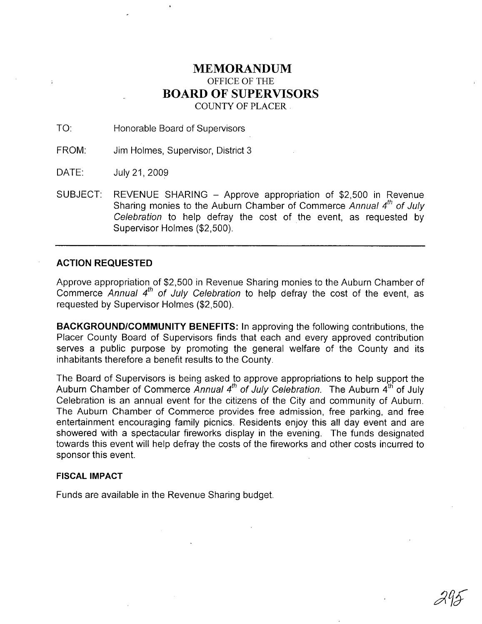# **MEMORANDUM** OFFICE OF THE **BOARD OF SUPERVISORS** COUNTY OF PLACER.

TO: Honorable Board of Supervisors

FROM: Jim Holmes, Supervisor, District 3

DATE: July 21,2009

SUBJECT: REVENUE SHARING - Approve appropriation of \$2,500 in Revenue Sharing monies to the Auburn Chamber of Commerce Annual  $4<sup>th</sup>$  of July Celebration to help defray the cost of the event, as requested by Supervisor Holmes (\$2,500).

## **ACTION REQUESTED**

Approve appropriation of \$2,500 in Revenue Sharing monies to the Auburn Chamber of Commerce Annual  $4<sup>th</sup>$  of July Celebration to help defray the cost of the event, as requested by Supervisor Holmes (\$2,500).

**BACKGROUND/COMMUNITY BENEFITS:** In approving the following contributions, the Placer County Board of Supervisors finds that each and every approved contribution serves a public purpose by promoting the general welfare of the County and its inhabitants therefore a benefit results to the County.

The Board of Supervisors is being asked to approve appropriations to help support the Auburn Chamber of Commerce Annual  $4^{th}$  of July Celebration. The Auburn  $4^{th}$  of July Celebration is an annual event for the citizens of the City and community of Auburn. The Auburn Chamber of Commerce provides free admission, free parking, and free entertainment encouraging family picnics. Residents enjoy this all day event and are showered with a spectacular fireworks display in the evening. The funds designated towards this event will help defray the costs of the fireworks and other costs incurred to sponsor this event.

### **FISCAL IMPACT**

Funds are available in the Revenue Sharing budget.